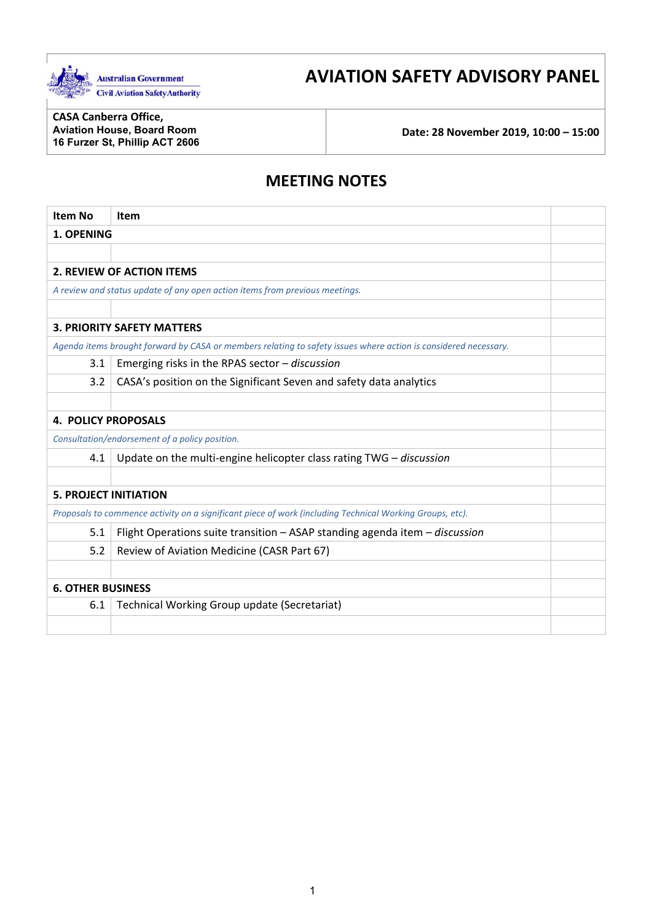

# **AVIATION SAFETY ADVISORY PANEL**

 **CASA Canberra Office, Aviation House, Board Room 16 Furzer St, Phillip ACT 2606** 

**Date: 28 November 2019, 10:00 – 15:00** 

## **MEETING NOTES**

| Item No                      | <b>Item</b>                                                                                                     |  |  |
|------------------------------|-----------------------------------------------------------------------------------------------------------------|--|--|
| 1. OPENING                   |                                                                                                                 |  |  |
|                              |                                                                                                                 |  |  |
|                              | <b>2. REVIEW OF ACTION ITEMS</b>                                                                                |  |  |
|                              | A review and status update of any open action items from previous meetings.                                     |  |  |
|                              |                                                                                                                 |  |  |
|                              | <b>3. PRIORITY SAFETY MATTERS</b>                                                                               |  |  |
|                              | Agenda items brought forward by CASA or members relating to safety issues where action is considered necessary. |  |  |
| 3.1                          | Emerging risks in the RPAS sector $-$ discussion                                                                |  |  |
| 3.2                          | CASA's position on the Significant Seven and safety data analytics                                              |  |  |
|                              |                                                                                                                 |  |  |
| <b>4. POLICY PROPOSALS</b>   |                                                                                                                 |  |  |
|                              | Consultation/endorsement of a policy position.                                                                  |  |  |
| 4.1                          | Update on the multi-engine helicopter class rating TWG - discussion                                             |  |  |
|                              |                                                                                                                 |  |  |
| <b>5. PROJECT INITIATION</b> |                                                                                                                 |  |  |
|                              | Proposals to commence activity on a significant piece of work (including Technical Working Groups, etc).        |  |  |
| 5.1                          | Flight Operations suite transition - ASAP standing agenda item - discussion                                     |  |  |
| 5.2                          | Review of Aviation Medicine (CASR Part 67)                                                                      |  |  |
|                              |                                                                                                                 |  |  |
| <b>6. OTHER BUSINESS</b>     |                                                                                                                 |  |  |
| 6.1                          | Technical Working Group update (Secretariat)                                                                    |  |  |
|                              |                                                                                                                 |  |  |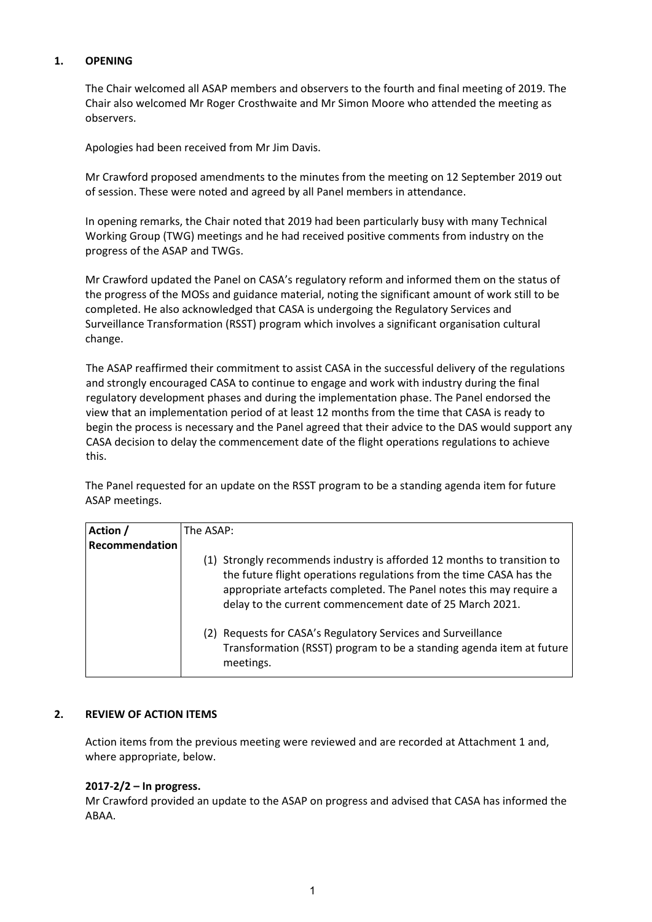## **1. OPENING**

The Chair welcomed all ASAP members and observers to the fourth and final meeting of 2019. The Chair also welcomed Mr Roger Crosthwaite and Mr Simon Moore who attended the meeting as observers.

Apologies had been received from Mr Jim Davis.

Mr Crawford proposed amendments to the minutes from the meeting on 12 September 2019 out of session. These were noted and agreed by all Panel members in attendance.

 progress of the ASAP and TWGs. In opening remarks, the Chair noted that 2019 had been particularly busy with many Technical Working Group (TWG) meetings and he had received positive comments from industry on the

Mr Crawford updated the Panel on CASA's regulatory reform and informed them on the status of the progress of the MOSs and guidance material, noting the significant amount of work still to be completed. He also acknowledged that CASA is undergoing the Regulatory Services and Surveillance Transformation (RSST) program which involves a significant organisation cultural change.

 view that an implementation period of at least 12 months from the time that CASA is ready to The ASAP reaffirmed their commitment to assist CASA in the successful delivery of the regulations and strongly encouraged CASA to continue to engage and work with industry during the final regulatory development phases and during the implementation phase. The Panel endorsed the begin the process is necessary and the Panel agreed that their advice to the DAS would support any CASA decision to delay the commencement date of the flight operations regulations to achieve this.

 The Panel requested for an update on the RSST program to be a standing agenda item for future ASAP meetings.

| Action /       | The ASAP:                                                                                                                                                                                                                                                                         |
|----------------|-----------------------------------------------------------------------------------------------------------------------------------------------------------------------------------------------------------------------------------------------------------------------------------|
| Recommendation |                                                                                                                                                                                                                                                                                   |
|                | (1) Strongly recommends industry is afforded 12 months to transition to<br>the future flight operations regulations from the time CASA has the<br>appropriate artefacts completed. The Panel notes this may require a<br>delay to the current commencement date of 25 March 2021. |
|                | (2) Requests for CASA's Regulatory Services and Surveillance<br>Transformation (RSST) program to be a standing agenda item at future<br>meetings.                                                                                                                                 |

#### **2. REVIEW OF ACTION ITEMS**

Action items from the previous meeting were reviewed and are recorded at Attachment 1 and, where appropriate, below.

#### **2017‐2/2 – In progress.**

Mr Crawford provided an update to the ASAP on progress and advised that CASA has informed the ABAA.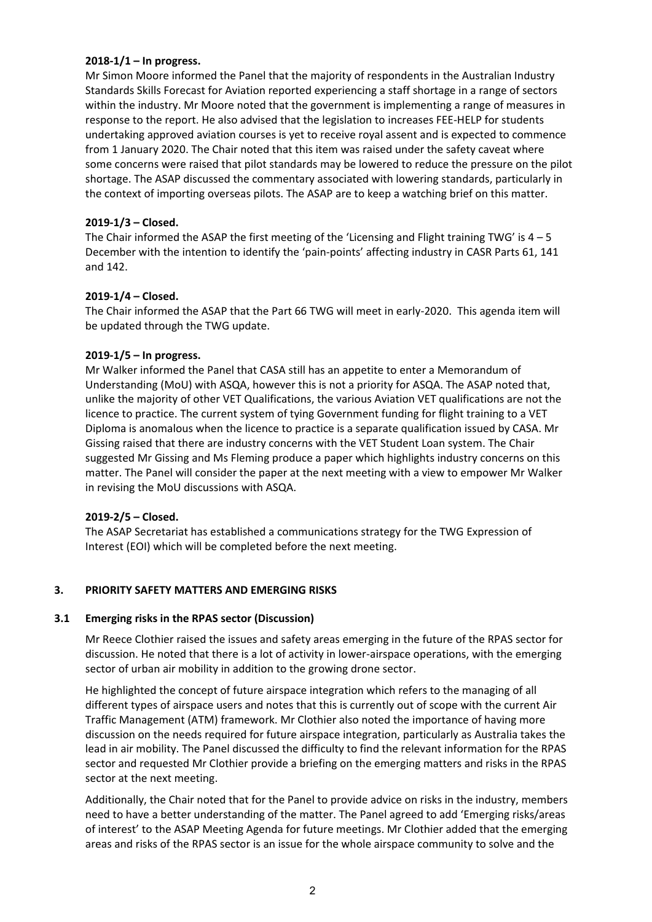#### **2018‐1/1 – In progress.**

 Mr Simon Moore informed the Panel that the majority of respondents in the Australian Industry Standards Skills Forecast for Aviation reported experiencing a staff shortage in a range of sectors within the industry. Mr Moore noted that the government is implementing a range of measures in response to the report. He also advised that the legislation to increases FEE‐HELP for students undertaking approved aviation courses is yet to receive royal assent and is expected to commence from 1 January 2020. The Chair noted that this item was raised under the safety caveat where some concerns were raised that pilot standards may be lowered to reduce the pressure on the pilot shortage. The ASAP discussed the commentary associated with lowering standards, particularly in the context of importing overseas pilots. The ASAP are to keep a watching brief on this matter.

#### **2019‐1/3 – Closed.**

 December with the intention to identify the 'pain‐points' affecting industry in CASR Parts 61, 141 The Chair informed the ASAP the first meeting of the 'Licensing and Flight training TWG' is  $4 - 5$ and 142.

### **2019‐1/4 – Closed.**

The Chair informed the ASAP that the Part 66 TWG will meet in early‐2020. This agenda item will be updated through the TWG update.

### **2019‐1/5 – In progress.**

 Diploma is anomalous when the licence to practice is a separate qualification issued by CASA. Mr Mr Walker informed the Panel that CASA still has an appetite to enter a Memorandum of Understanding (MoU) with ASQA, however this is not a priority for ASQA. The ASAP noted that, unlike the majority of other VET Qualifications, the various Aviation VET qualifications are not the licence to practice. The current system of tying Government funding for flight training to a VET Gissing raised that there are industry concerns with the VET Student Loan system. The Chair suggested Mr Gissing and Ms Fleming produce a paper which highlights industry concerns on this matter. The Panel will consider the paper at the next meeting with a view to empower Mr Walker in revising the MoU discussions with ASQA.

#### **2019‐2/5 – Closed.**

The ASAP Secretariat has established a communications strategy for the TWG Expression of Interest (EOI) which will be completed before the next meeting.

## **3. PRIORITY SAFETY MATTERS AND EMERGING RISKS**

#### **3.1 Emerging risks in the RPAS sector (Discussion)**

 discussion. He noted that there is a lot of activity in lower‐airspace operations, with the emerging Mr Reece Clothier raised the issues and safety areas emerging in the future of the RPAS sector for sector of urban air mobility in addition to the growing drone sector.

 discussion on the needs required for future airspace integration, particularly as Australia takes the sector at the next meeting. He highlighted the concept of future airspace integration which refers to the managing of all different types of airspace users and notes that this is currently out of scope with the current Air Traffic Management (ATM) framework. Mr Clothier also noted the importance of having more lead in air mobility. The Panel discussed the difficulty to find the relevant information for the RPAS sector and requested Mr Clothier provide a briefing on the emerging matters and risks in the RPAS

 of interest' to the ASAP Meeting Agenda for future meetings. Mr Clothier added that the emerging Additionally, the Chair noted that for the Panel to provide advice on risks in the industry, members need to have a better understanding of the matter. The Panel agreed to add 'Emerging risks/areas areas and risks of the RPAS sector is an issue for the whole airspace community to solve and the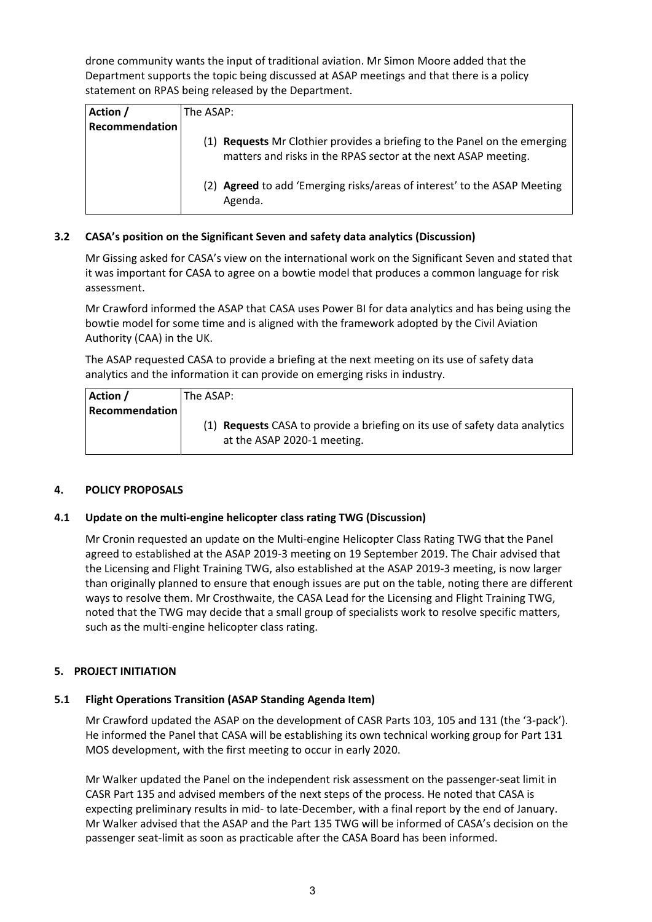drone community wants the input of traditional aviation. Mr Simon Moore added that the Department supports the topic being discussed at ASAP meetings and that there is a policy statement on RPAS being released by the Department.

| Action /              | The ASAP:                                                                                                                                   |  |  |
|-----------------------|---------------------------------------------------------------------------------------------------------------------------------------------|--|--|
| <b>Recommendation</b> |                                                                                                                                             |  |  |
|                       | (1) Requests Mr Clothier provides a briefing to the Panel on the emerging<br>matters and risks in the RPAS sector at the next ASAP meeting. |  |  |
|                       | (2) Agreed to add 'Emerging risks/areas of interest' to the ASAP Meeting<br>Agenda.                                                         |  |  |

## **3.2 CASA's position on the Significant Seven and safety data analytics (Discussion)**

Mr Gissing asked for CASA's view on the international work on the Significant Seven and stated that it was important for CASA to agree on a bowtie model that produces a common language for risk assessment.

Mr Crawford informed the ASAP that CASA uses Power BI for data analytics and has being using the bowtie model for some time and is aligned with the framework adopted by the Civil Aviation Authority (CAA) in the UK.

 The ASAP requested CASA to provide a briefing at the next meeting on its use of safety data analytics and the information it can provide on emerging risks in industry.

| Action /       | The ASAP:                                                                                                         |  |
|----------------|-------------------------------------------------------------------------------------------------------------------|--|
| Recommendation |                                                                                                                   |  |
|                | (1) <b>Requests</b> CASA to provide a briefing on its use of safety data analytics<br>at the ASAP 2020-1 meeting. |  |

## **4. POLICY PROPOSALS**

## **4.1 Update on the multi‐engine helicopter class rating TWG (Discussion)**

 than originally planned to ensure that enough issues are put on the table, noting there are different noted that the TWG may decide that a small group of specialists work to resolve specific matters, such as the multi-engine helicopter class rating. Mr Cronin requested an update on the Multi‐engine Helicopter Class Rating TWG that the Panel agreed to established at the ASAP 2019‐3 meeting on 19 September 2019. The Chair advised that the Licensing and Flight Training TWG, also established at the ASAP 2019‐3 meeting, is now larger ways to resolve them. Mr Crosthwaite, the CASA Lead for the Licensing and Flight Training TWG,

## **5. PROJECT INITIATION**

## **5.1 Flight Operations Transition (ASAP Standing Agenda Item)**

 MOS development, with the first meeting to occur in early 2020. Mr Crawford updated the ASAP on the development of CASR Parts 103, 105 and 131 (the '3‐pack'). He informed the Panel that CASA will be establishing its own technical working group for Part 131

 CASR Part 135 and advised members of the next steps of the process. He noted that CASA is expecting preliminary results in mid‐ to late‐December, with a final report by the end of January. Mr Walker advised that the ASAP and the Part 135 TWG will be informed of CASA's decision on the passenger seat‐limit as soon as practicable after the CASA Board has been informed. Mr Walker updated the Panel on the independent risk assessment on the passenger‐seat limit in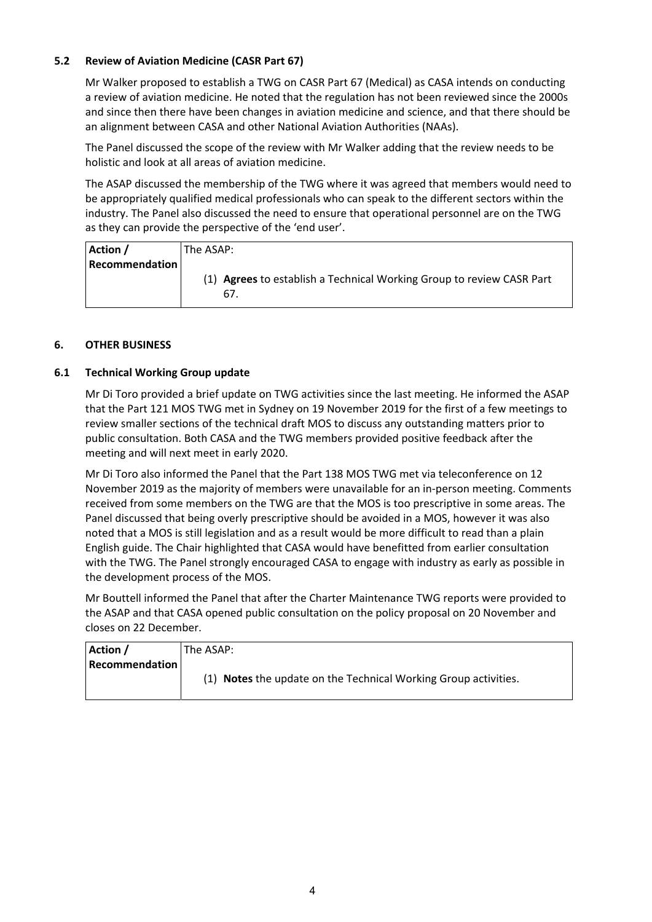## **5.2 Review of Aviation Medicine (CASR Part 67)**

Mr Walker proposed to establish a TWG on CASR Part 67 (Medical) as CASA intends on conducting a review of aviation medicine. He noted that the regulation has not been reviewed since the 2000s and since then there have been changes in aviation medicine and science, and that there should be an alignment between CASA and other National Aviation Authorities (NAAs).

The Panel discussed the scope of the review with Mr Walker adding that the review needs to be holistic and look at all areas of aviation medicine.

 The ASAP discussed the membership of the TWG where it was agreed that members would need to as they can provide the perspective of the 'end user'. be appropriately qualified medical professionals who can speak to the different sectors within the industry. The Panel also discussed the need to ensure that operational personnel are on the TWG

| Action /              | l The ASAP: l                                                         |  |
|-----------------------|-----------------------------------------------------------------------|--|
| <b>Recommendation</b> |                                                                       |  |
|                       | (1) Agrees to establish a Technical Working Group to review CASR Part |  |
|                       | 6/                                                                    |  |

### **6. OTHER BUSINESS**

### **6.1 Technical Working Group update**

Mr Di Toro provided a brief update on TWG activities since the last meeting. He informed the ASAP that the Part 121 MOS TWG met in Sydney on 19 November 2019 for the first of a few meetings to review smaller sections of the technical draft MOS to discuss any outstanding matters prior to public consultation. Both CASA and the TWG members provided positive feedback after the meeting and will next meet in early 2020.

 received from some members on the TWG are that the MOS is too prescriptive in some areas. The English guide. The Chair highlighted that CASA would have benefitted from earlier consultation Mr Di Toro also informed the Panel that the Part 138 MOS TWG met via teleconference on 12 November 2019 as the majority of members were unavailable for an in‐person meeting. Comments Panel discussed that being overly prescriptive should be avoided in a MOS, however it was also noted that a MOS is still legislation and as a result would be more difficult to read than a plain with the TWG. The Panel strongly encouraged CASA to engage with industry as early as possible in the development process of the MOS.

Mr Bouttell informed the Panel that after the Charter Maintenance TWG reports were provided to the ASAP and that CASA opened public consultation on the policy proposal on 20 November and closes on 22 December.

| Action /       | The ASAP:                                                       |  |  |
|----------------|-----------------------------------------------------------------|--|--|
| Recommendation | (1) Notes the update on the Technical Working Group activities. |  |  |
|                |                                                                 |  |  |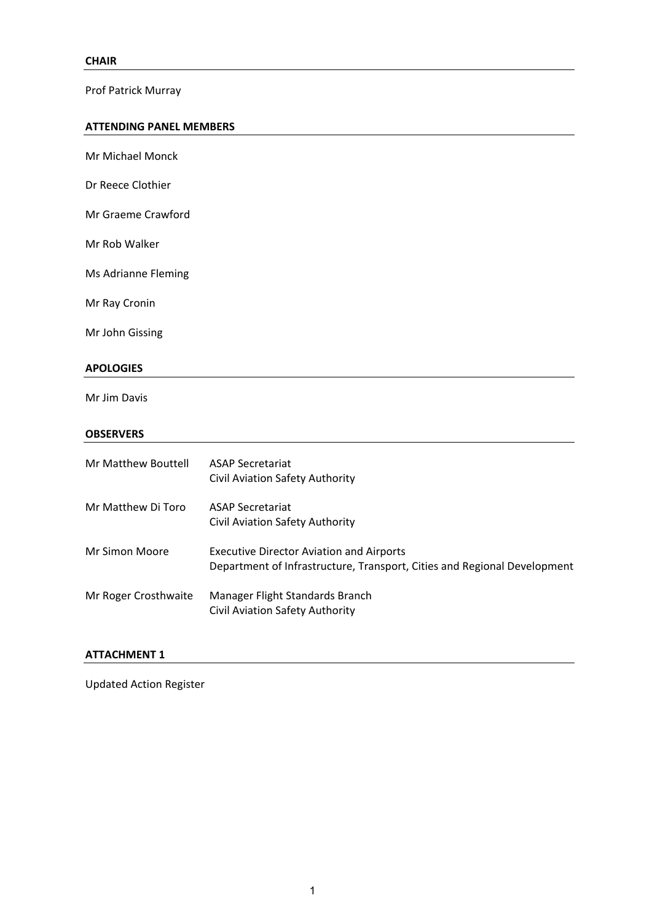Prof Patrick Murray

### **ATTENDING PANEL MEMBERS**

Mr Michael Monck

Dr Reece Clothier

Mr Graeme Crawford

Mr Rob Walker

Ms Adrianne Fleming

Mr Ray Cronin

Mr John Gissing

#### **APOLOGIES**

Mr Jim Davis

#### **OBSERVERS**

| Mr Matthew Bouttell  | <b>ASAP Secretariat</b><br>Civil Aviation Safety Authority                                                                  |
|----------------------|-----------------------------------------------------------------------------------------------------------------------------|
| Mr Matthew Di Toro   | <b>ASAP Secretariat</b><br>Civil Aviation Safety Authority                                                                  |
| Mr Simon Moore       | <b>Executive Director Aviation and Airports</b><br>Department of Infrastructure, Transport, Cities and Regional Development |
| Mr Roger Crosthwaite | Manager Flight Standards Branch<br>Civil Aviation Safety Authority                                                          |

#### **ATTACHMENT 1**

Updated Action Register